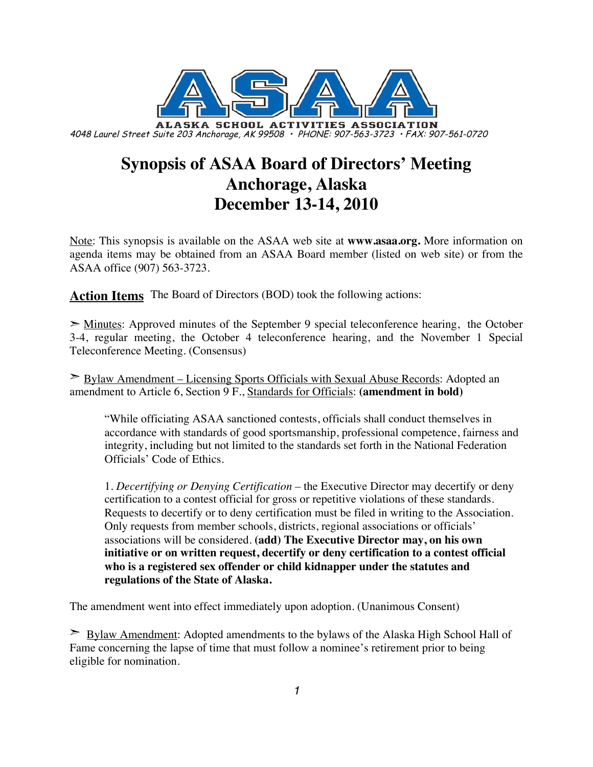

## **Synopsis of ASAA Board of Directors' Meeting Anchorage, Alaska December 13-14, 2010**

Note: This synopsis is available on the ASAA web site at **www.asaa.org.** More information on agenda items may be obtained from an ASAA Board member (listed on web site) or from the ASAA office (907) 563-3723.

**Action Items** The Board of Directors (BOD) took the following actions:

 $\geq$  Minutes: Approved minutes of the September 9 special teleconference hearing, the October 3-4, regular meeting, the October 4 teleconference hearing, and the November 1 Special Teleconference Meeting. (Consensus)

➣ Bylaw Amendment – Licensing Sports Officials with Sexual Abuse Records: Adopted an amendment to Article 6, Section 9 F., Standards for Officials: **(amendment in bold)**

"While officiating ASAA sanctioned contests, officials shall conduct themselves in accordance with standards of good sportsmanship, professional competence, fairness and integrity, including but not limited to the standards set forth in the National Federation Officials' Code of Ethics.

1. *Decertifying or Denying Certification –* the Executive Director may decertify or deny certification to a contest official for gross or repetitive violations of these standards. Requests to decertify or to deny certification must be filed in writing to the Association. Only requests from member schools, districts, regional associations or officials' associations will be considered. **(add) The Executive Director may, on his own initiative or on written request, decertify or deny certification to a contest official who is a registered sex offender or child kidnapper under the statutes and regulations of the State of Alaska.**

The amendment went into effect immediately upon adoption. (Unanimous Consent)

➣ Bylaw Amendment: Adopted amendments to the bylaws of the Alaska High School Hall of Fame concerning the lapse of time that must follow a nominee's retirement prior to being eligible for nomination.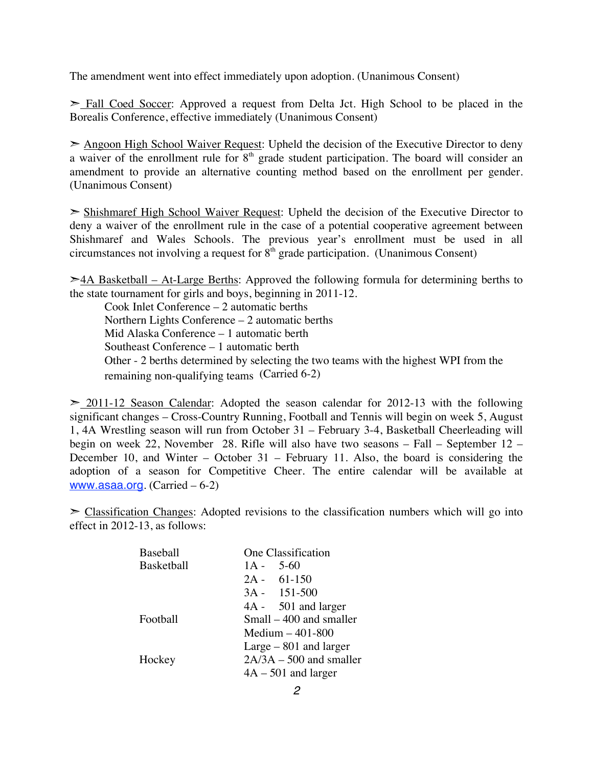The amendment went into effect immediately upon adoption. (Unanimous Consent)

► Fall Coed Soccer: Approved a request from Delta Jct. High School to be placed in the Borealis Conference, effective immediately (Unanimous Consent)

➣ Angoon High School Waiver Request: Upheld the decision of the Executive Director to deny a waiver of the enrollment rule for 8<sup>th</sup> grade student participation. The board will consider an amendment to provide an alternative counting method based on the enrollment per gender. (Unanimous Consent)

➣ Shishmaref High School Waiver Request: Upheld the decision of the Executive Director to deny a waiver of the enrollment rule in the case of a potential cooperative agreement between Shishmaref and Wales Schools. The previous year's enrollment must be used in all circumstances not involving a request for  $8<sup>th</sup>$  grade participation. (Unanimous Consent)

 $\geq$  4A Basketball – At-Large Berths: Approved the following formula for determining berths to the state tournament for girls and boys, beginning in 2011-12.

Cook Inlet Conference – 2 automatic berths Northern Lights Conference – 2 automatic berths Mid Alaska Conference – 1 automatic berth Southeast Conference – 1 automatic berth Other - 2 berths determined by selecting the two teams with the highest WPI from the remaining non-qualifying teams (Carried 6-2)

 $\geq$  2011-12 Season Calendar: Adopted the season calendar for 2012-13 with the following significant changes – Cross-Country Running, Football and Tennis will begin on week 5, August 1, 4A Wrestling season will run from October 31 – February 3-4, Basketball Cheerleading will begin on week 22, November 28. Rifle will also have two seasons – Fall – September 12 – December 10, and Winter – October 31 – February 11. Also, the board is considering the adoption of a season for Competitive Cheer. The entire calendar will be available at www.asaa.org. (Carried – 6-2)

 $\geq$  Classification Changes: Adopted revisions to the classification numbers which will go into effect in 2012-13, as follows:

| Baseball   | One Classification        |
|------------|---------------------------|
| Basketball | $1A - 5-60$               |
|            | $2A - 61-150$             |
|            | $3A - 151 - 500$          |
|            | 4A - 501 and larger       |
| Football   | Small – 400 and smaller   |
|            | Medium $-401-800$         |
|            | $Large-801$ and larger    |
| Hockey     | $2A/3A - 500$ and smaller |
|            | $4A - 501$ and larger     |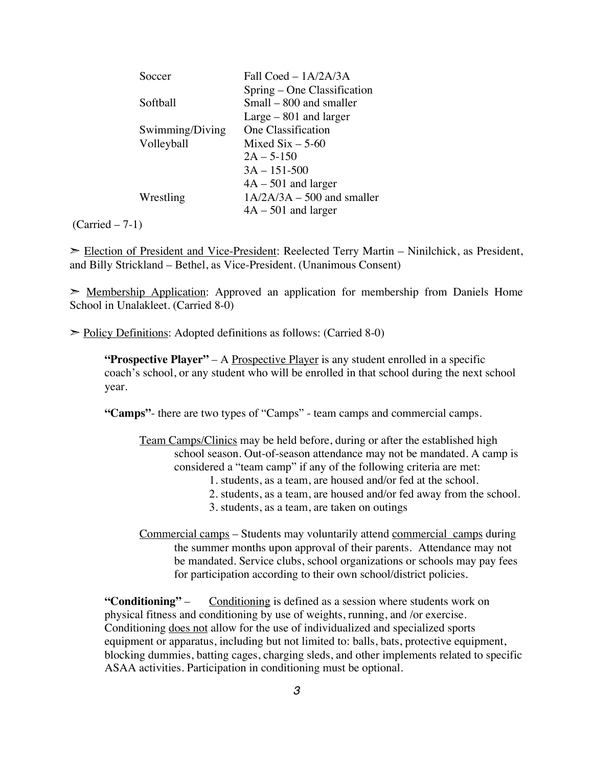| Fall $C$ oed – $1A/2A/3A$    |
|------------------------------|
| Spring – One Classification  |
| Small – 800 and smaller      |
| $Large-801$ and larger       |
| One Classification           |
| Mixed $Six - 5-60$           |
| $2A - 5-150$                 |
| $3A - 151 - 500$             |
| $4A - 501$ and larger        |
| $1A/2A/3A - 500$ and smaller |
| $4A - 501$ and larger        |
|                              |

 $(Carried – 7-1)$ 

➣ Election of President and Vice-President: Reelected Terry Martin – Ninilchick, as President, and Billy Strickland – Bethel, as Vice-President. (Unanimous Consent)

 $\geq$  Membership Application: Approved an application for membership from Daniels Home School in Unalakleet. (Carried 8-0)

➣ Policy Definitions: Adopted definitions as follows: (Carried 8-0)

**"Prospective Player"** – A Prospective Player is any student enrolled in a specific coach's school, or any student who will be enrolled in that school during the next school year.

**"Camps"**- there are two types of "Camps" - team camps and commercial camps.

Team Camps/Clinics may be held before, during or after the established high school season. Out-of-season attendance may not be mandated. A camp is considered a "team camp" if any of the following criteria are met:

- 1. students, as a team, are housed and/or fed at the school.
- 2. students, as a team, are housed and/or fed away from the school.
- 3. students, as a team, are taken on outings
- Commercial camps Students may voluntarily attend commercial camps during the summer months upon approval of their parents. Attendance may not be mandated. Service clubs, school organizations or schools may pay fees for participation according to their own school/district policies.

**"Conditioning"** – Conditioning is defined as a session where students work on physical fitness and conditioning by use of weights, running, and /or exercise. Conditioning does not allow for the use of individualized and specialized sports equipment or apparatus, including but not limited to: balls, bats, protective equipment, blocking dummies, batting cages, charging sleds, and other implements related to specific ASAA activities. Participation in conditioning must be optional.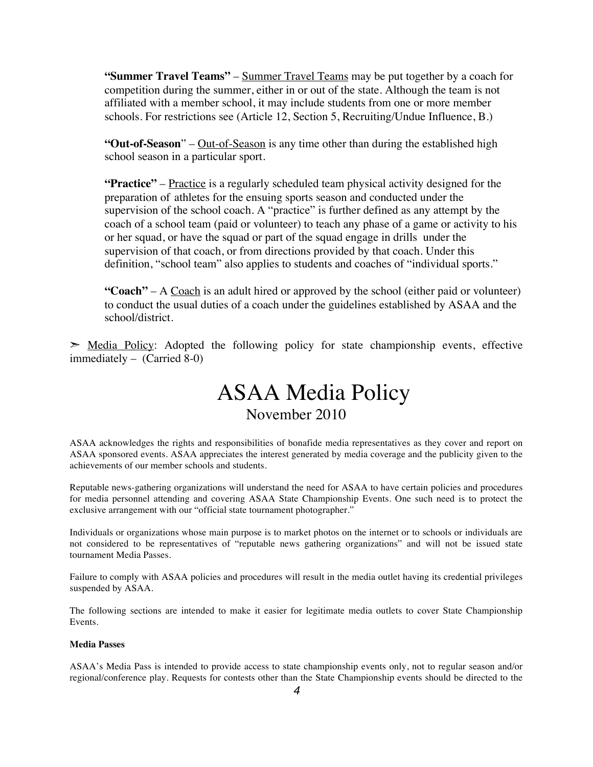**"Summer Travel Teams"** – Summer Travel Teams may be put together by a coach for competition during the summer, either in or out of the state. Although the team is not affiliated with a member school, it may include students from one or more member schools. For restrictions see (Article 12, Section 5, Recruiting/Undue Influence, B.)

**"Out-of-Season**" – Out-of-Season is any time other than during the established high school season in a particular sport.

**"Practice"** – Practice is a regularly scheduled team physical activity designed for the preparation of athletes for the ensuing sports season and conducted under the supervision of the school coach. A "practice" is further defined as any attempt by the coach of a school team (paid or volunteer) to teach any phase of a game or activity to his or her squad, or have the squad or part of the squad engage in drills under the supervision of that coach, or from directions provided by that coach. Under this definition, "school team" also applies to students and coaches of "individual sports."

**"Coach"** – A Coach is an adult hired or approved by the school (either paid or volunteer) to conduct the usual duties of a coach under the guidelines established by ASAA and the school/district.

 $\geq$  Media Policy: Adopted the following policy for state championship events, effective immediately – (Carried 8-0)

# ASAA Media Policy November 2010

ASAA acknowledges the rights and responsibilities of bonafide media representatives as they cover and report on ASAA sponsored events. ASAA appreciates the interest generated by media coverage and the publicity given to the achievements of our member schools and students.

Reputable news-gathering organizations will understand the need for ASAA to have certain policies and procedures for media personnel attending and covering ASAA State Championship Events. One such need is to protect the exclusive arrangement with our "official state tournament photographer."

Individuals or organizations whose main purpose is to market photos on the internet or to schools or individuals are not considered to be representatives of "reputable news gathering organizations" and will not be issued state tournament Media Passes.

Failure to comply with ASAA policies and procedures will result in the media outlet having its credential privileges suspended by ASAA.

The following sections are intended to make it easier for legitimate media outlets to cover State Championship Events.

#### **Media Passes**

ASAA's Media Pass is intended to provide access to state championship events only, not to regular season and/or regional/conference play. Requests for contests other than the State Championship events should be directed to the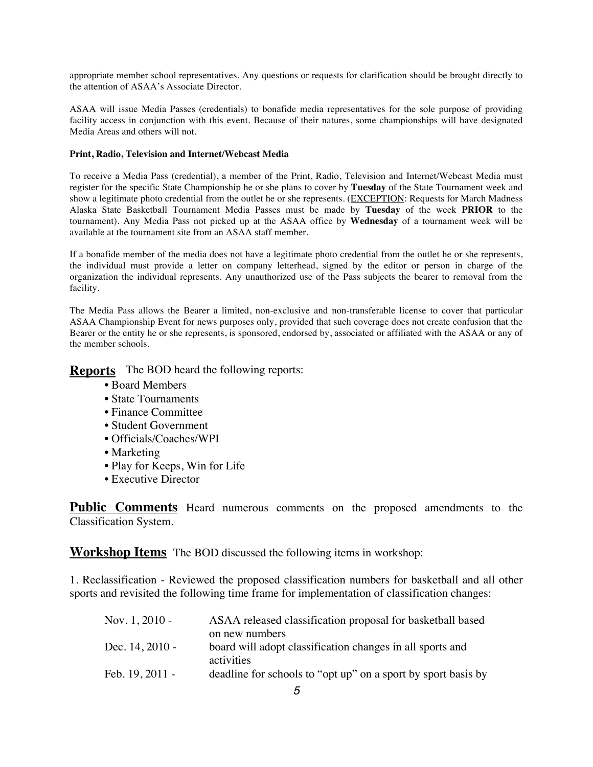appropriate member school representatives. Any questions or requests for clarification should be brought directly to the attention of ASAA's Associate Director.

ASAA will issue Media Passes (credentials) to bonafide media representatives for the sole purpose of providing facility access in conjunction with this event. Because of their natures, some championships will have designated Media Areas and others will not.

#### **Print, Radio, Television and Internet/Webcast Media**

To receive a Media Pass (credential), a member of the Print, Radio, Television and Internet/Webcast Media must register for the specific State Championship he or she plans to cover by **Tuesday** of the State Tournament week and show a legitimate photo credential from the outlet he or she represents. (EXCEPTION: Requests for March Madness Alaska State Basketball Tournament Media Passes must be made by **Tuesday** of the week **PRIOR** to the tournament). Any Media Pass not picked up at the ASAA office by **Wednesday** of a tournament week will be available at the tournament site from an ASAA staff member.

If a bonafide member of the media does not have a legitimate photo credential from the outlet he or she represents, the individual must provide a letter on company letterhead, signed by the editor or person in charge of the organization the individual represents. Any unauthorized use of the Pass subjects the bearer to removal from the facility.

The Media Pass allows the Bearer a limited, non-exclusive and non-transferable license to cover that particular ASAA Championship Event for news purposes only, provided that such coverage does not create confusion that the Bearer or the entity he or she represents, is sponsored, endorsed by, associated or affiliated with the ASAA or any of the member schools.

**Reports** The BOD heard the following reports:

- Board Members
- State Tournaments
- Finance Committee
- Student Government
- Officials/Coaches/WPI
- Marketing
- Play for Keeps, Win for Life
- Executive Director

**Public Comments** Heard numerous comments on the proposed amendments to the Classification System.

**Workshop Items** The BOD discussed the following items in workshop:

1. Reclassification - Reviewed the proposed classification numbers for basketball and all other sports and revisited the following time frame for implementation of classification changes:

| ASAA released classification proposal for basketball based    |
|---------------------------------------------------------------|
| on new numbers                                                |
| board will adopt classification changes in all sports and     |
| activities                                                    |
| deadline for schools to "opt up" on a sport by sport basis by |
|                                                               |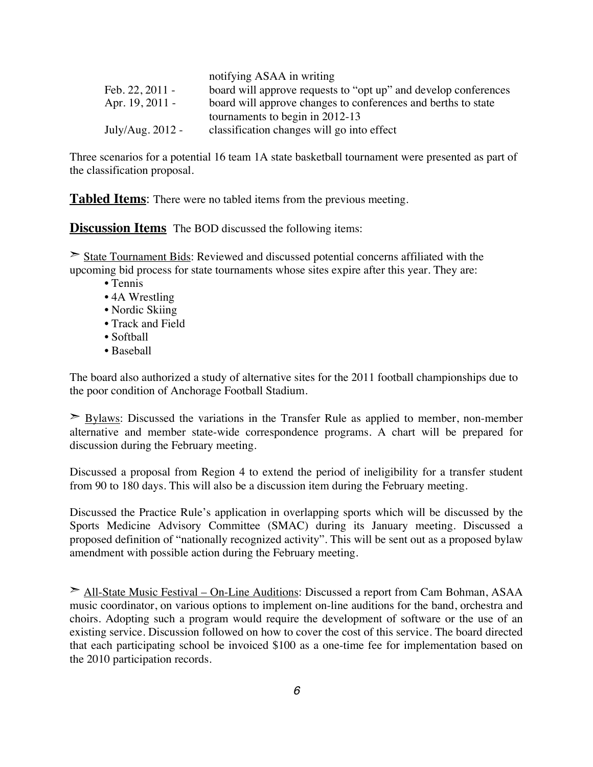|                  | notifying ASAA in writing                                       |
|------------------|-----------------------------------------------------------------|
| Feb. 22, 2011 -  | board will approve requests to "opt up" and develop conferences |
| Apr. 19, 2011 -  | board will approve changes to conferences and berths to state   |
|                  | tournaments to begin in 2012-13                                 |
| July/Aug. 2012 - | classification changes will go into effect                      |

Three scenarios for a potential 16 team 1A state basketball tournament were presented as part of the classification proposal.

 $n = \frac{1}{2}$ 

**Tabled Items**: There were no tabled items from the previous meeting.

**Discussion Items** The BOD discussed the following items:

State Tournament Bids: Reviewed and discussed potential concerns affiliated with the upcoming bid process for state tournaments whose sites expire after this year. They are:

- Tennis
- 4A Wrestling
- Nordic Skiing
- Track and Field
- Softball
- Baseball

The board also authorized a study of alternative sites for the 2011 football championships due to the poor condition of Anchorage Football Stadium.

 $\geq$  Bylaws: Discussed the variations in the Transfer Rule as applied to member, non-member alternative and member state-wide correspondence programs. A chart will be prepared for discussion during the February meeting.

Discussed a proposal from Region 4 to extend the period of ineligibility for a transfer student from 90 to 180 days. This will also be a discussion item during the February meeting.

Discussed the Practice Rule's application in overlapping sports which will be discussed by the Sports Medicine Advisory Committee (SMAC) during its January meeting. Discussed a proposed definition of "nationally recognized activity". This will be sent out as a proposed bylaw amendment with possible action during the February meeting.

➣ All-State Music Festival – On-Line Auditions: Discussed a report from Cam Bohman, ASAA music coordinator, on various options to implement on-line auditions for the band, orchestra and choirs. Adopting such a program would require the development of software or the use of an existing service. Discussion followed on how to cover the cost of this service. The board directed that each participating school be invoiced \$100 as a one-time fee for implementation based on the 2010 participation records.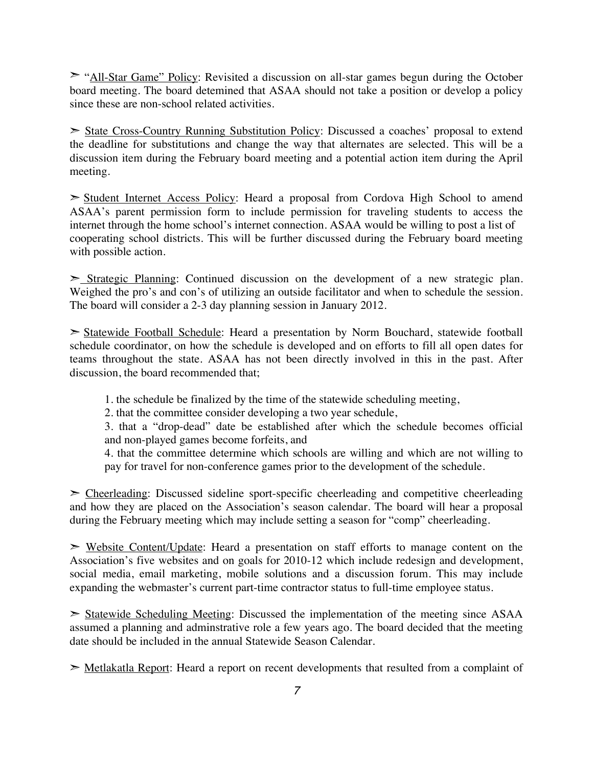► "All-Star Game" Policy: Revisited a discussion on all-star games begun during the October board meeting. The board detemined that ASAA should not take a position or develop a policy since these are non-school related activities.

➣ State Cross-Country Running Substitution Policy: Discussed a coaches' proposal to extend the deadline for substitutions and change the way that alternates are selected. This will be a discussion item during the February board meeting and a potential action item during the April meeting.

➣ Student Internet Access Policy: Heard a proposal from Cordova High School to amend ASAA's parent permission form to include permission for traveling students to access the internet through the home school's internet connection. ASAA would be willing to post a list of cooperating school districts. This will be further discussed during the February board meeting with possible action.

 $\geq$  Strategic Planning: Continued discussion on the development of a new strategic plan. Weighed the pro's and con's of utilizing an outside facilitator and when to schedule the session. The board will consider a 2-3 day planning session in January 2012.

➣ Statewide Football Schedule: Heard a presentation by Norm Bouchard, statewide football schedule coordinator, on how the schedule is developed and on efforts to fill all open dates for teams throughout the state. ASAA has not been directly involved in this in the past. After discussion, the board recommended that;

1. the schedule be finalized by the time of the statewide scheduling meeting,

2. that the committee consider developing a two year schedule,

3. that a "drop-dead" date be established after which the schedule becomes official and non-played games become forfeits, and

4. that the committee determine which schools are willing and which are not willing to pay for travel for non-conference games prior to the development of the schedule.

 $\geq$  Cheerleading: Discussed sideline sport-specific cheerleading and competitive cheerleading and how they are placed on the Association's season calendar. The board will hear a proposal during the February meeting which may include setting a season for "comp" cheerleading.

**EXEC** Website Content/Update: Heard a presentation on staff efforts to manage content on the Association's five websites and on goals for 2010-12 which include redesign and development, social media, email marketing, mobile solutions and a discussion forum. This may include expanding the webmaster's current part-time contractor status to full-time employee status.

➣ Statewide Scheduling Meeting: Discussed the implementation of the meeting since ASAA assumed a planning and adminstrative role a few years ago. The board decided that the meeting date should be included in the annual Statewide Season Calendar.

► Metlakatla Report: Heard a report on recent developments that resulted from a complaint of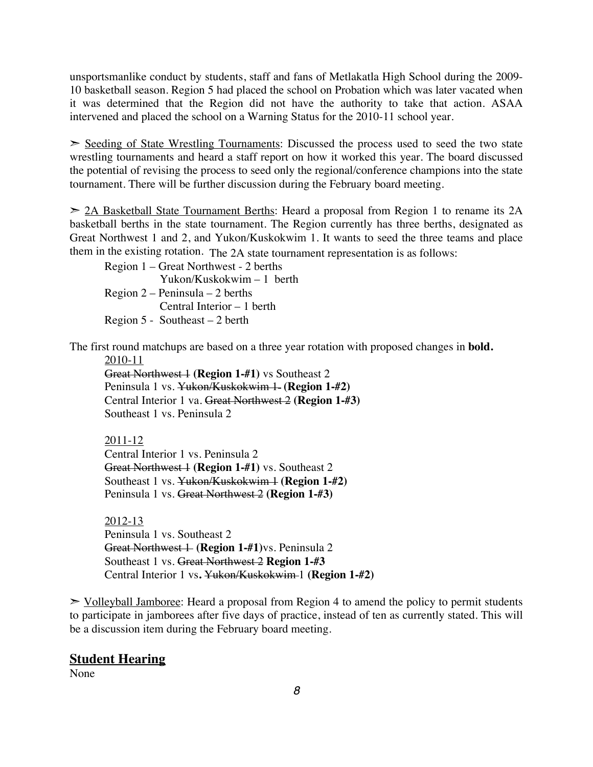unsportsmanlike conduct by students, staff and fans of Metlakatla High School during the 2009- 10 basketball season. Region 5 had placed the school on Probation which was later vacated when it was determined that the Region did not have the authority to take that action. ASAA intervened and placed the school on a Warning Status for the 2010-11 school year.

► Seeding of State Wrestling Tournaments: Discussed the process used to seed the two state wrestling tournaments and heard a staff report on how it worked this year. The board discussed the potential of revising the process to seed only the regional/conference champions into the state tournament. There will be further discussion during the February board meeting.

 $\geq$  2A Basketball State Tournament Berths: Heard a proposal from Region 1 to rename its 2A basketball berths in the state tournament. The Region currently has three berths, designated as Great Northwest 1 and 2, and Yukon/Kuskokwim 1. It wants to seed the three teams and place them in the existing rotation. The 2A state tournament representation is as follows:

Region 1 – Great Northwest - 2 berths Yukon/Kuskokwim – 1 berth Region 2 – Peninsula – 2 berths Central Interior – 1 berth Region 5 - Southeast – 2 berth

The first round matchups are based on a three year rotation with proposed changes in **bold.**

2010-11

Great Northwest 1 **(Region 1-#1)** vs Southeast 2 Peninsula 1 vs. Yukon/Kuskokwim 1 (Region 1-#2) Central Interior 1 va. Great Northwest 2 **(Region 1-#3)** Southeast 1 vs. Peninsula 2

2011-12

Central Interior 1 vs. Peninsula 2 Great Northwest 1 (Region 1-#1) vs. Southeast 2 Southeast 1 vs. Yukon/Kuskokwim 1 **(Region 1-#2)** Peninsula 1 vs. Great Northwest 2 **(Region 1-#3)**

2012-13 Peninsula 1 vs. Southeast 2 Great Northwest 1 **(Region 1-#1)**vs. Peninsula 2 Southeast 1 vs. Great Northwest 2 **Region 1-#3** Central Interior 1 vs**.** Yukon/Kuskokwim 1 **(Region 1-#2)**

 $\ge$  Volleyball Jamboree: Heard a proposal from Region 4 to amend the policy to permit students to participate in jamborees after five days of practice, instead of ten as currently stated. This will be a discussion item during the February board meeting.

#### **Student Hearing**

None